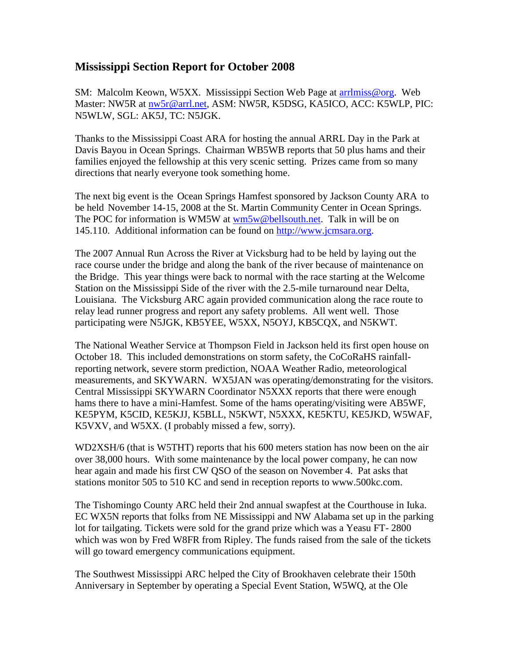## **Mississippi Section Report for October 2008**

SM: Malcolm Keown, W5XX. Mississippi Section Web Page at arrilmiss@org. Web Master: NW5R at [nw5r@arrl.net,](mailto:nw5r@arrl.net) ASM: NW5R, K5DSG, KA5ICO, ACC: K5WLP, PIC: N5WLW, SGL: AK5J, TC: N5JGK.

Thanks to the Mississippi Coast ARA for hosting the annual ARRL Day in the Park at Davis Bayou in Ocean Springs. Chairman WB5WB reports that 50 plus hams and their families enjoyed the fellowship at this very scenic setting. Prizes came from so many directions that nearly everyone took something home.

The next big event is the Ocean Springs Hamfest sponsored by Jackson County ARA to be held November 14-15, 2008 at the St. Martin Community Center in Ocean Springs. The POC for information is WM5W at [wm5w@bellsouth.net.](mailto:wm5w@bellsouth.net) Talk in will be on 145.110. Additional information can be found on [http://www.jcmsara.org.](http://www.jcmsara.org/)

The 2007 Annual Run Across the River at Vicksburg had to be held by laying out the race course under the bridge and along the bank of the river because of maintenance on the Bridge. This year things were back to normal with the race starting at the Welcome Station on the Mississippi Side of the river with the 2.5-mile turnaround near Delta, Louisiana. The Vicksburg ARC again provided communication along the race route to relay lead runner progress and report any safety problems. All went well. Those participating were N5JGK, KB5YEE, W5XX, N5OYJ, KB5CQX, and N5KWT.

The National Weather Service at Thompson Field in Jackson held its first open house on October 18. This included demonstrations on storm safety, the CoCoRaHS rainfallreporting network, severe storm prediction, NOAA Weather Radio, meteorological measurements, and SKYWARN. WX5JAN was operating/demonstrating for the visitors. Central Mississippi SKYWARN Coordinator N5XXX reports that there were enough hams there to have a mini-Hamfest. Some of the hams operating/visiting were AB5WF, KE5PYM, K5CID, KE5KJJ, K5BLL, N5KWT, N5XXX, KE5KTU, KE5JKD, W5WAF, K5VXV, and W5XX. (I probably missed a few, sorry).

WD2XSH/6 (that is W5THT) reports that his 600 meters station has now been on the air over 38,000 hours. With some maintenance by the local power company, he can now hear again and made his first CW QSO of the season on November 4. Pat asks that stations monitor 505 to 510 KC and send in reception reports to www.500kc.com.

The Tishomingo County ARC held their 2nd annual swapfest at the Courthouse in Iuka. EC WX5N reports that folks from NE Mississippi and NW Alabama set up in the parking lot for tailgating. Tickets were sold for the grand prize which was a Yeasu FT- 2800 which was won by Fred W8FR from Ripley. The funds raised from the sale of the tickets will go toward emergency communications equipment.

The Southwest Mississippi ARC helped the City of Brookhaven celebrate their 150th Anniversary in September by operating a Special Event Station, W5WQ, at the Ole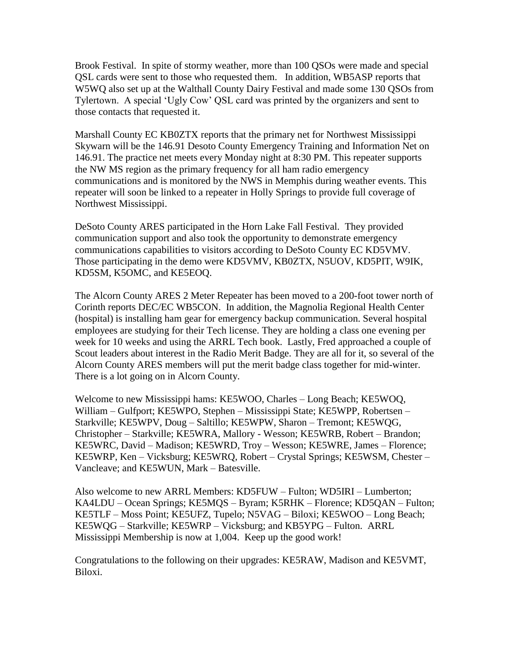Brook Festival. In spite of stormy weather, more than 100 QSOs were made and special QSL cards were sent to those who requested them. In addition, WB5ASP reports that W5WQ also set up at the Walthall County Dairy Festival and made some 130 QSOs from Tylertown. A special 'Ugly Cow' QSL card was printed by the organizers and sent to those contacts that requested it.

Marshall County EC KB0ZTX reports that the primary net for Northwest Mississippi Skywarn will be the 146.91 Desoto County Emergency Training and Information Net on 146.91. The practice net meets every Monday night at 8:30 PM. This repeater supports the NW MS region as the primary frequency for all ham radio emergency communications and is monitored by the NWS in Memphis during weather events. This repeater will soon be linked to a repeater in Holly Springs to provide full coverage of Northwest Mississippi.

DeSoto County ARES participated in the Horn Lake Fall Festival. They provided communication support and also took the opportunity to demonstrate emergency communications capabilities to visitors according to DeSoto County EC KD5VMV. Those participating in the demo were KD5VMV, KB0ZTX, N5UOV, KD5PIT, W9IK, KD5SM, K5OMC, and KE5EOQ.

The Alcorn County ARES 2 Meter Repeater has been moved to a 200-foot tower north of Corinth reports DEC/EC WB5CON. In addition, the Magnolia Regional Health Center (hospital) is installing ham gear for emergency backup communication. Several hospital employees are studying for their Tech license. They are holding a class one evening per week for 10 weeks and using the ARRL Tech book. Lastly, Fred approached a couple of Scout leaders about interest in the Radio Merit Badge. They are all for it, so several of the Alcorn County ARES members will put the merit badge class together for mid-winter. There is a lot going on in Alcorn County.

Welcome to new Mississippi hams: KE5WOO, Charles – Long Beach; KE5WOQ, William – Gulfport; KE5WPO, Stephen – Mississippi State; KE5WPP, Robertsen – Starkville; KE5WPV, Doug – Saltillo; KE5WPW, Sharon – Tremont; KE5WQG, Christopher – Starkville; KE5WRA, Mallory - Wesson; KE5WRB, Robert – Brandon; KE5WRC, David – Madison; KE5WRD, Troy – Wesson; KE5WRE, James – Florence; KE5WRP, Ken – Vicksburg; KE5WRQ, Robert – Crystal Springs; KE5WSM, Chester – Vancleave; and KE5WUN, Mark – Batesville.

Also welcome to new ARRL Members: KD5FUW – Fulton; WD5IRI – Lumberton; KA4LDU – Ocean Springs; KE5MQS – Byram; K5RHK – Florence; KD5QAN – Fulton; KE5TLF – Moss Point; KE5UFZ, Tupelo; N5VAG – Biloxi; KE5WOO – Long Beach; KE5WQG – Starkville; KE5WRP – Vicksburg; and KB5YPG – Fulton. ARRL Mississippi Membership is now at 1,004. Keep up the good work!

Congratulations to the following on their upgrades: KE5RAW, Madison and KE5VMT, Biloxi.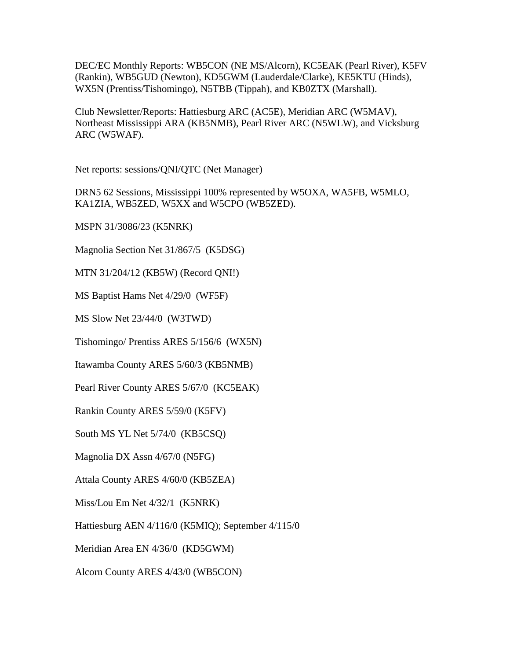DEC/EC Monthly Reports: WB5CON (NE MS/Alcorn), KC5EAK (Pearl River), K5FV (Rankin), WB5GUD (Newton), KD5GWM (Lauderdale/Clarke), KE5KTU (Hinds), WX5N (Prentiss/Tishomingo), N5TBB (Tippah), and KB0ZTX (Marshall).

Club Newsletter/Reports: Hattiesburg ARC (AC5E), Meridian ARC (W5MAV), Northeast Mississippi ARA (KB5NMB), Pearl River ARC (N5WLW), and Vicksburg ARC (W5WAF).

Net reports: sessions/QNI/QTC (Net Manager)

DRN5 62 Sessions, Mississippi 100% represented by W5OXA, WA5FB, W5MLO, KA1ZIA, WB5ZED, W5XX and W5CPO (WB5ZED).

MSPN 31/3086/23 (K5NRK)

Magnolia Section Net 31/867/5 (K5DSG)

MTN 31/204/12 (KB5W) (Record QNI!)

MS Baptist Hams Net 4/29/0 (WF5F)

MS Slow Net 23/44/0 (W3TWD)

Tishomingo/ Prentiss ARES 5/156/6 (WX5N)

Itawamba County ARES 5/60/3 (KB5NMB)

Pearl River County ARES 5/67/0 (KC5EAK)

Rankin County ARES 5/59/0 (K5FV)

South MS YL Net 5/74/0 (KB5CSQ)

Magnolia DX Assn 4/67/0 (N5FG)

Attala County ARES 4/60/0 (KB5ZEA)

Miss/Lou Em Net 4/32/1 (K5NRK)

Hattiesburg AEN 4/116/0 (K5MIQ); September 4/115/0

Meridian Area EN 4/36/0 (KD5GWM)

Alcorn County ARES 4/43/0 (WB5CON)